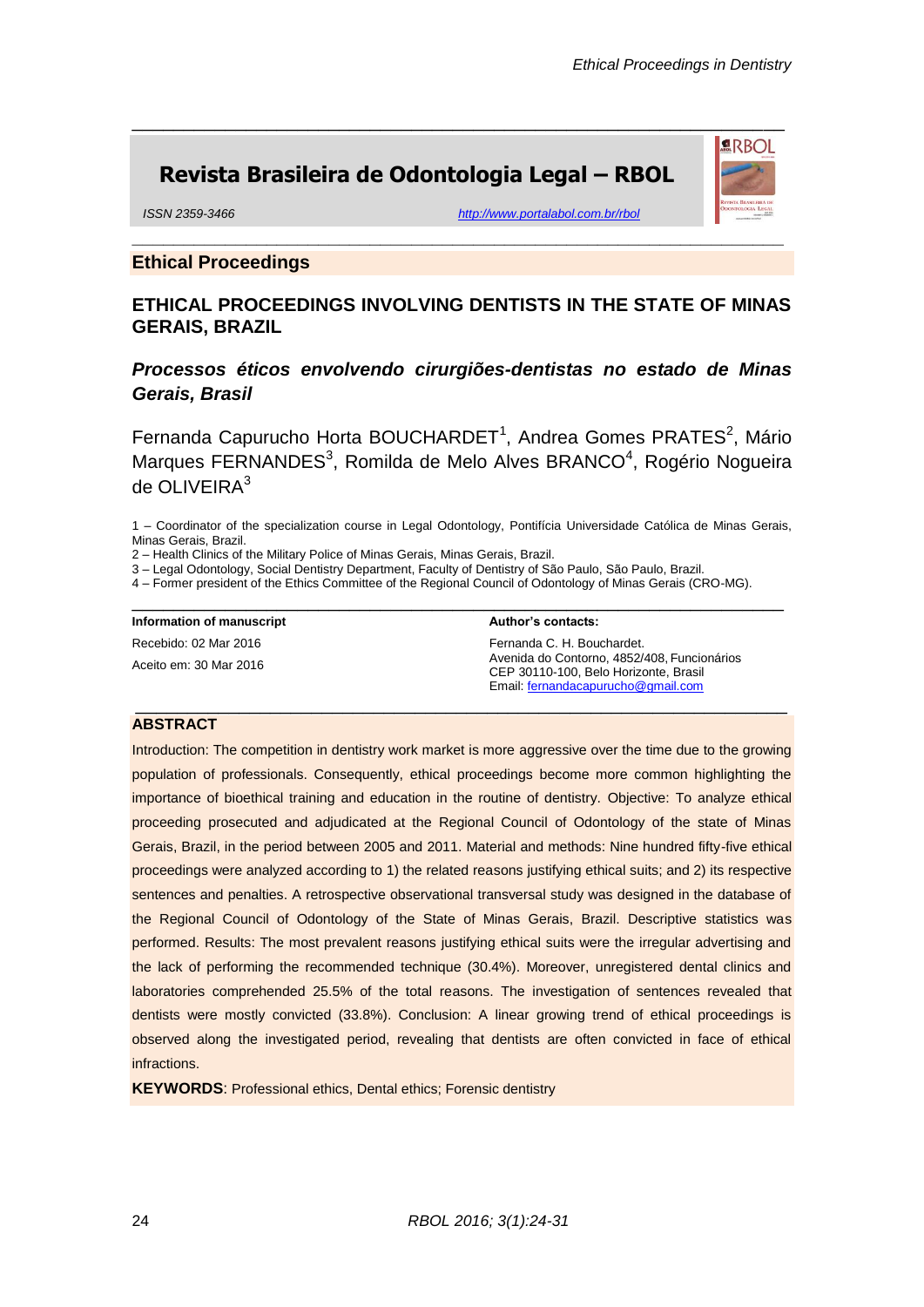**ARBOL** 

# **Revista Brasileira de Odontologia Legal – RBOL**

*ISSN 2359-3466 <http://www.portalabol.com.br/rbol>*

### **Ethical Proceedings**

## **ETHICAL PROCEEDINGS INVOLVING DENTISTS IN THE STATE OF MINAS GERAIS, BRAZIL**

**\_\_\_\_\_\_\_\_\_\_\_\_\_\_\_\_\_\_\_\_\_\_\_\_\_\_\_\_\_\_\_\_\_\_\_\_\_\_\_\_\_\_\_\_\_\_\_\_\_\_\_\_\_\_\_\_\_\_\_\_\_\_\_**

\_\_\_\_\_\_\_\_\_\_\_\_\_\_\_\_\_\_\_\_\_\_\_\_\_\_\_\_\_\_\_\_\_\_\_\_\_\_\_\_\_\_\_\_\_\_\_\_\_\_\_\_\_\_\_\_\_\_\_\_\_\_\_

## *Processos éticos envolvendo cirurgiões-dentistas no estado de Minas Gerais, Brasil*

Fernanda Capurucho Horta BOUCHARDET<sup>1</sup>, Andrea Gomes PRATES<sup>2</sup>, Mário Marques FERNANDES<sup>3</sup>, Romilda de Melo Alves BRANCO<sup>4</sup>, Rogério Nogueira de OLIVEIR $A^3$ 

1 – Coordinator of the specialization course in Legal Odontology, Pontifícia Universidade Católica de Minas Gerais, Minas Gerais, Brazil.

2 – Health Clinics of the Military Police of Minas Gerais, Minas Gerais, Brazil.

3 – Legal Odontology, Social Dentistry Department, Faculty of Dentistry of São Paulo, São Paulo, Brazil.

4 – Former president of the Ethics Committee of the Regional Council of Odontology of Minas Gerais (CRO-MG).

\_\_\_\_\_\_\_\_\_\_\_\_\_\_\_\_\_\_\_\_\_\_\_\_\_\_\_\_\_\_\_\_\_\_\_\_\_\_\_\_\_\_\_\_\_\_\_\_\_\_\_\_\_\_\_\_\_\_\_\_\_\_\_

\_\_\_\_\_\_\_\_\_\_\_\_\_\_\_\_\_\_\_\_\_\_\_\_\_\_\_\_\_\_\_\_\_\_\_\_\_\_\_\_\_\_\_\_\_\_\_\_\_\_\_\_\_\_\_\_\_\_\_\_\_\_\_

**Information of manuscript**

Recebido: 02 Mar 2016 Aceito em: 30 Mar 2016 **Author's contacts:**

Fernanda C. H. Bouchardet. Avenida do Contorno, 4852/408, Funcionários CEP 30110-100, Belo Horizonte, Brasil Email: [fernandacapurucho@gmail.com](mailto:fernandacapurucho@gmail.com)

#### **ABSTRACT**

Introduction: The competition in dentistry work market is more aggressive over the time due to the growing population of professionals. Consequently, ethical proceedings become more common highlighting the importance of bioethical training and education in the routine of dentistry. Objective: To analyze ethical proceeding prosecuted and adjudicated at the Regional Council of Odontology of the state of Minas Gerais, Brazil, in the period between 2005 and 2011. Material and methods: Nine hundred fifty-five ethical proceedings were analyzed according to 1) the related reasons justifying ethical suits; and 2) its respective sentences and penalties. A retrospective observational transversal study was designed in the database of the Regional Council of Odontology of the State of Minas Gerais, Brazil. Descriptive statistics was performed. Results: The most prevalent reasons justifying ethical suits were the irregular advertising and the lack of performing the recommended technique (30.4%). Moreover, unregistered dental clinics and laboratories comprehended 25.5% of the total reasons. The investigation of sentences revealed that dentists were mostly convicted (33.8%). Conclusion: A linear growing trend of ethical proceedings is observed along the investigated period, revealing that dentists are often convicted in face of ethical infractions.

**KEYWORDS**: Professional ethics, Dental ethics; Forensic dentistry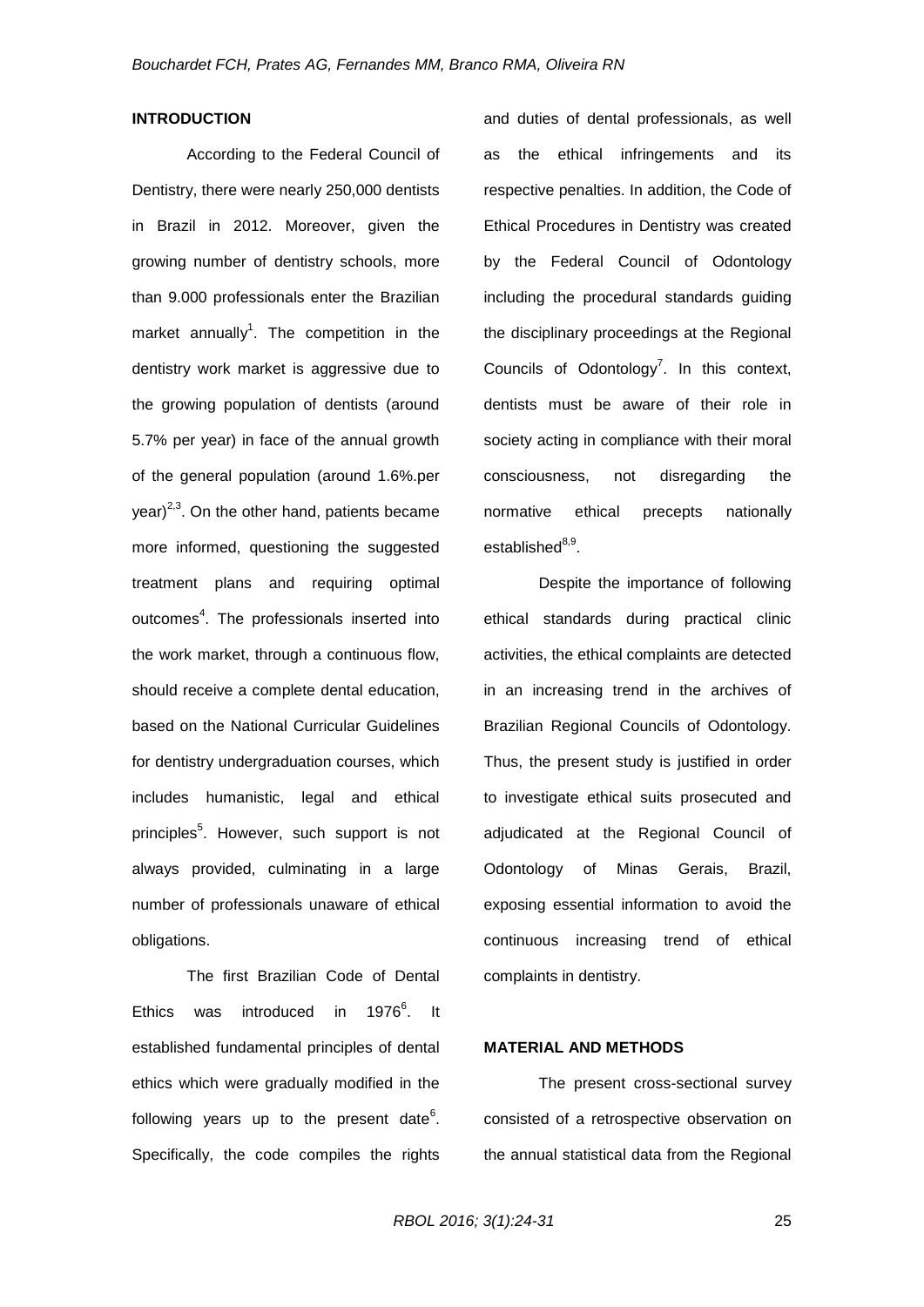#### **INTRODUCTION**

According to the Federal Council of Dentistry, there were nearly 250,000 dentists in Brazil in 2012. Moreover, given the growing number of dentistry schools, more than 9.000 professionals enter the Brazilian market annually<sup>1</sup>. The competition in the dentistry work market is aggressive due to the growing population of dentists (around 5.7% per year) in face of the annual growth of the general population (around 1.6%.per  $\chi$ year)<sup>2,3</sup>. On the other hand, patients became more informed, questioning the suggested treatment plans and requiring optimal outcomes<sup>4</sup>. The professionals inserted into the work market, through a continuous flow, should receive a complete dental education, based on the National Curricular Guidelines for dentistry undergraduation courses, which includes humanistic, legal and ethical principles<sup>5</sup>. However, such support is not always provided, culminating in a large number of professionals unaware of ethical obligations.

The first Brazilian Code of Dental Ethics was introduced in 1976 $^{6}$ . It established fundamental principles of dental ethics which were gradually modified in the following years up to the present date $6$ . Specifically, the code compiles the rights

and duties of dental professionals, as well as the ethical infringements and its respective penalties. In addition, the Code of Ethical Procedures in Dentistry was created by the Federal Council of Odontology including the procedural standards guiding the disciplinary proceedings at the Regional Councils of Odontology<sup>7</sup>. In this context, dentists must be aware of their role in society acting in compliance with their moral consciousness, not disregarding the normative ethical precepts nationally established<sup>8,9</sup>.

Despite the importance of following ethical standards during practical clinic activities, the ethical complaints are detected in an increasing trend in the archives of Brazilian Regional Councils of Odontology. Thus, the present study is justified in order to investigate ethical suits prosecuted and adjudicated at the Regional Council of Odontology of Minas Gerais, Brazil, exposing essential information to avoid the continuous increasing trend of ethical complaints in dentistry.

#### **MATERIAL AND METHODS**

The present cross-sectional survey consisted of a retrospective observation on the annual statistical data from the Regional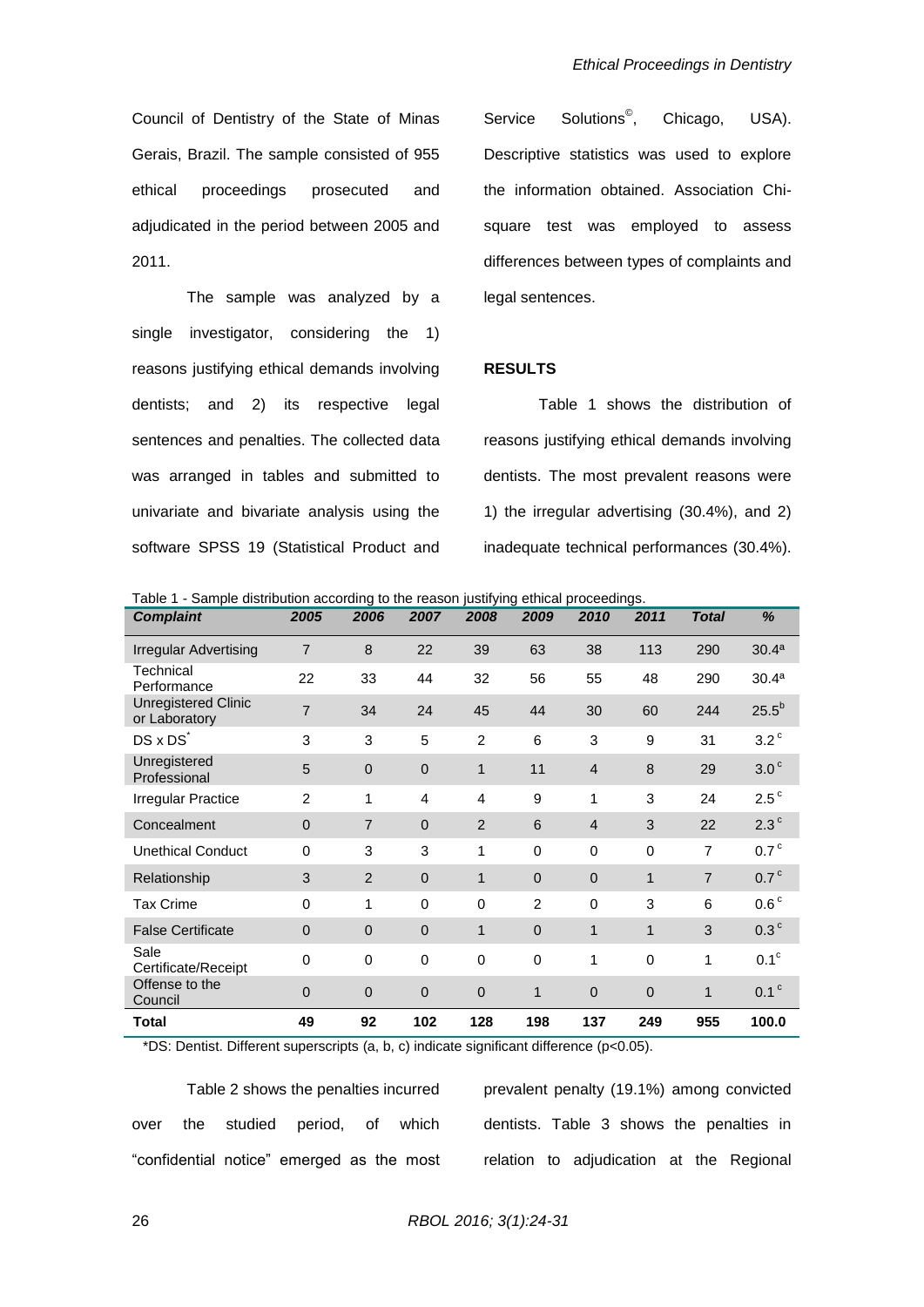Council of Dentistry of the State of Minas Gerais, Brazil. The sample consisted of 955 ethical proceedings prosecuted and adjudicated in the period between 2005 and 2011.

The sample was analyzed by a single investigator, considering the 1) reasons justifying ethical demands involving dentists; and 2) its respective legal sentences and penalties. The collected data was arranged in tables and submitted to univariate and bivariate analysis using the software SPSS 19 (Statistical Product and Service Solutions<sup>®</sup>, , Chicago, USA). Descriptive statistics was used to explore the information obtained. Association Chisquare test was employed to assess differences between types of complaints and legal sentences.

#### **RESULTS**

Table 1 shows the distribution of reasons justifying ethical demands involving dentists. The most prevalent reasons were 1) the irregular advertising (30.4%), and 2) inadequate technical performances (30.4%).

| rable T - Sample distribution according to the reason justifying ethical proceedings.<br><b>Complaint</b> | 2005           | 2006           | 2007           | 2008           | 2009           | 2010           | 2011         | <b>Total</b>   | %                 |
|-----------------------------------------------------------------------------------------------------------|----------------|----------------|----------------|----------------|----------------|----------------|--------------|----------------|-------------------|
| Irregular Advertising                                                                                     | $\overline{7}$ | 8              | 22             | 39             | 63             | 38             | 113          | 290            | 30.4 <sup>a</sup> |
| Technical<br>Performance                                                                                  | 22             | 33             | 44             | 32             | 56             | 55             | 48           | 290            | 30.4 <sup>a</sup> |
| <b>Unregistered Clinic</b><br>or Laboratory                                                               | $\overline{7}$ | 34             | 24             | 45             | 44             | 30             | 60           | 244            | $25.5^{b}$        |
| DS x DS <sup>*</sup>                                                                                      | 3              | 3              | 5              | $\overline{2}$ | 6              | 3              | 9            | 31             | $3.2^{\circ}$     |
| Unregistered<br>Professional                                                                              | 5              | $\overline{0}$ | $\overline{0}$ | $\mathbf{1}$   | 11             | $\overline{4}$ | 8            | 29             | 3.0 <sup>c</sup>  |
| <b>Irregular Practice</b>                                                                                 | 2              | 1              | 4              | $\overline{4}$ | 9              | 1              | 3            | 24             | $2.5^{\circ}$     |
| Concealment                                                                                               | $\mathbf 0$    | $\overline{7}$ | $\overline{0}$ | 2              | 6              | $\overline{4}$ | 3            | 22             | $2.3^{\circ}$     |
| <b>Unethical Conduct</b>                                                                                  | $\Omega$       | 3              | 3              | 1              | $\Omega$       | $\Omega$       | 0            | $\overline{7}$ | 0.7 <sup>c</sup>  |
| Relationship                                                                                              | 3              | 2              | $\overline{0}$ | $\mathbf{1}$   | $\overline{0}$ | $\mathbf 0$    | $\mathbf{1}$ | $\overline{7}$ | 0.7 <sup>c</sup>  |
| <b>Tax Crime</b>                                                                                          | $\Omega$       | 1              | $\Omega$       | $\Omega$       | 2              | $\Omega$       | 3            | 6              | 0.6 <sup>c</sup>  |
| <b>False Certificate</b>                                                                                  | $\Omega$       | $\Omega$       | $\overline{0}$ | $\mathbf{1}$   | $\Omega$       | 1              | $\mathbf{1}$ | 3              | 0.3 <sup>c</sup>  |
| Sale<br>Certificate/Receipt                                                                               | $\Omega$       | $\mathbf 0$    | $\mathbf 0$    | $\mathbf 0$    | $\mathbf 0$    | 1              | 0            | 1              | $0.1^\circ$       |
| Offense to the<br>Council                                                                                 | $\mathbf{0}$   | $\overline{0}$ | 0              | $\mathbf 0$    | 1              | $\mathbf 0$    | $\mathbf 0$  | 1              | 0.1 <sup>c</sup>  |
| <b>Total</b>                                                                                              | 49             | 92             | 102            | 128            | 198            | 137            | 249          | 955            | 100.0             |

Table 1 - Sample distribution according to the reason justifying ethical proceedings.

\*DS: Dentist. Different superscripts (a, b, c) indicate significant difference (p<0.05).

Table 2 shows the penalties incurred over the studied period, of which "confidential notice" emerged as the most prevalent penalty (19.1%) among convicted dentists. Table 3 shows the penalties in relation to adjudication at the Regional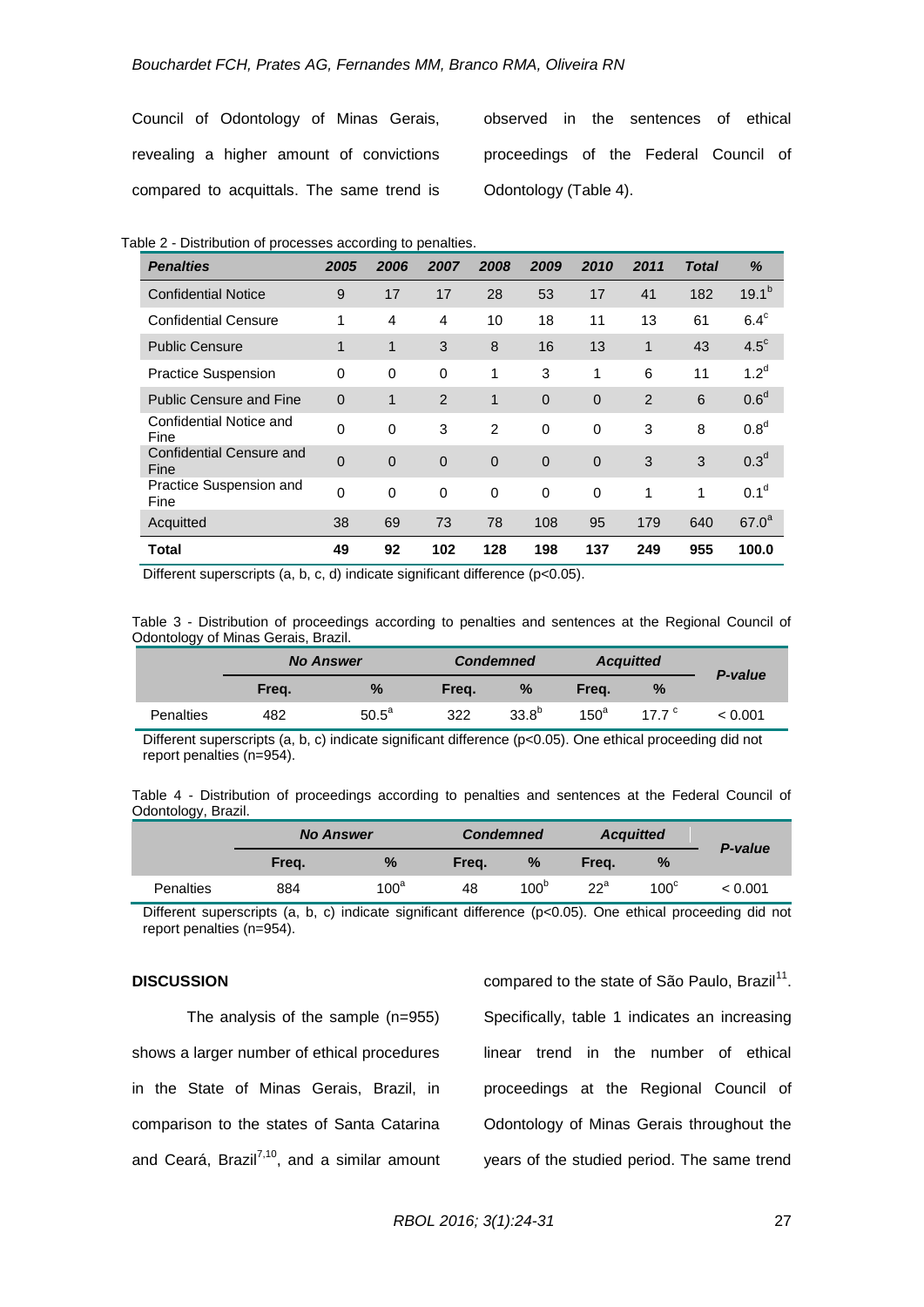Council of Odontology of Minas Gerais, revealing a higher amount of convictions compared to acquittals. The same trend is

observed in the sentences of ethical proceedings of the Federal Council of Odontology (Table 4).

|  | Table 2 - Distribution of processes according to penalties. |  |  |  |  |  |
|--|-------------------------------------------------------------|--|--|--|--|--|
|--|-------------------------------------------------------------|--|--|--|--|--|

| <b>Penalties</b>                        | 2005         | 2006           | 2007           | 2008         | 2009         | 2010        | 2011 | Total | %                 |
|-----------------------------------------|--------------|----------------|----------------|--------------|--------------|-------------|------|-------|-------------------|
| <b>Confidential Notice</b>              | 9            | 17             | 17             | 28           | 53           | 17          | 41   | 182   | $19.1^{b}$        |
| <b>Confidential Censure</b>             | 1            | $\overline{4}$ | 4              | 10           | 18           | 11          | 13   | 61    | $6.4^\circ$       |
| <b>Public Censure</b>                   | 1            | 1              | 3              | 8            | 16           | 13          | 1    | 43    | $4.5^{\circ}$     |
| <b>Practice Suspension</b>              | $\Omega$     | 0              | $\Omega$       | 1            | 3            | 1           | 6    | 11    | 1.2 <sup>d</sup>  |
| <b>Public Censure and Fine</b>          | $\Omega$     | 1              | 2              | $\mathbf{1}$ | $\mathbf{0}$ | $\mathbf 0$ | 2    | 6     | 0.6 <sup>d</sup>  |
| Confidential Notice and<br>Fine         | $\mathbf{0}$ | $\Omega$       | 3              | 2            | $\Omega$     | 0           | 3    | 8     | 0.8 <sup>d</sup>  |
| <b>Confidential Censure and</b><br>Fine | $\mathbf 0$  | $\overline{0}$ | $\overline{0}$ | $\mathbf 0$  | $\mathbf{0}$ | $\mathbf 0$ | 3    | 3     | 0.3 <sup>d</sup>  |
| Practice Suspension and<br>Fine         | $\mathbf 0$  | 0              | 0              | 0            | 0            | 0           | 1    | 1     | 0.1 <sup>d</sup>  |
| Acquitted                               | 38           | 69             | 73             | 78           | 108          | 95          | 179  | 640   | 67.0 <sup>a</sup> |
| Total                                   | 49           | 92             | 102            | 128          | 198          | 137         | 249  | 955   | 100.0             |

Different superscripts (a, b, c, d) indicate significant difference (p<0.05).

Table 3 - Distribution of proceedings according to penalties and sentences at the Regional Council of Odontology of Minas Gerais, Brazil.

|                  |       | <b>Condemned</b><br><b>No Answer</b> |       |               | <b>Acquitted</b> |               |         |  | P-value |
|------------------|-------|--------------------------------------|-------|---------------|------------------|---------------|---------|--|---------|
|                  | Freq. | $\%$                                 | Freq. | $\frac{9}{6}$ | Frea.            | $\frac{9}{6}$ |         |  |         |
| <b>Penalties</b> | 482   | $50.5^a$                             | 322   | $33.8^{b}$    | $150^a$          | 177 $\degree$ | < 0.001 |  |         |

Different superscripts (a, b, c) indicate significant difference (p<0.05). One ethical proceeding did not report penalties (n=954).

|                     |  | Table 4 - Distribution of proceedings according to penalties and sentences at the Federal Council of |  |  |  |  |  |
|---------------------|--|------------------------------------------------------------------------------------------------------|--|--|--|--|--|
| Odontology, Brazil. |  |                                                                                                      |  |  |  |  |  |

|           | <b>No Answer</b> |               |       | <b>Condemned</b> |        | <b>Acquitted</b> | P-value |
|-----------|------------------|---------------|-------|------------------|--------|------------------|---------|
|           | Frea.            | $\frac{9}{6}$ | Frea. | $\frac{9}{6}$    | Frea.  | $\%$             |         |
| Penalties | 884              | $100^a$       | 48    | 100 <sup>b</sup> | $22^a$ | $100^{\circ}$    | < 0.001 |

Different superscripts (a, b, c) indicate significant difference (p<0.05). One ethical proceeding did not report penalties (n=954).

### **DISCUSSION**

The analysis of the sample (n=955) shows a larger number of ethical procedures in the State of Minas Gerais, Brazil, in comparison to the states of Santa Catarina and Ceará, Brazil $^{7,10}$ , and a similar amount

compared to the state of São Paulo, Brazil<sup>11</sup>. Specifically, table 1 indicates an increasing linear trend in the number of ethical proceedings at the Regional Council of Odontology of Minas Gerais throughout the years of the studied period. The same trend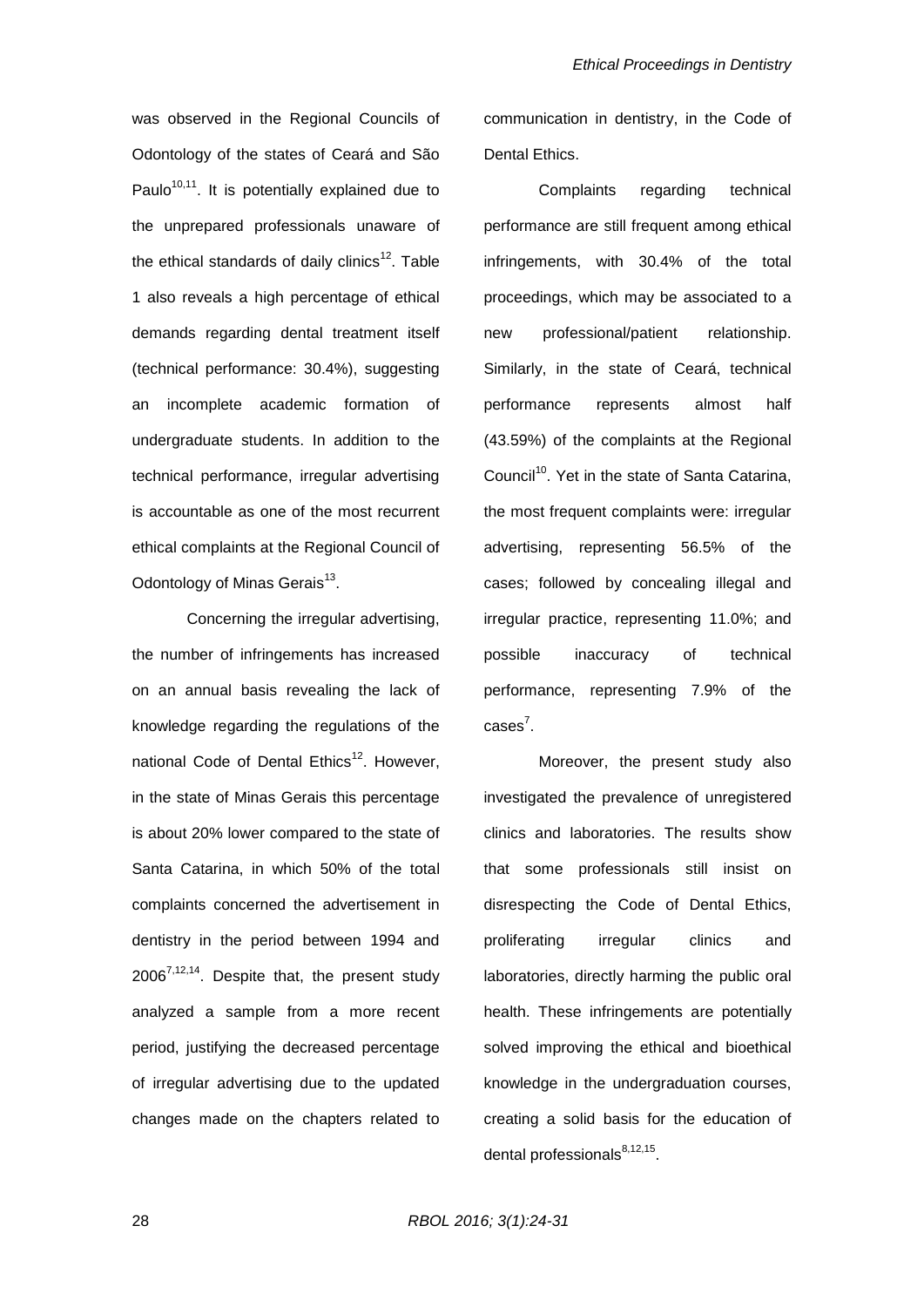was observed in the Regional Councils of Odontology of the states of Ceará and São Paulo<sup>10,11</sup>. It is potentially explained due to the unprepared professionals unaware of the ethical standards of daily clinics<sup>12</sup>. Table 1 also reveals a high percentage of ethical demands regarding dental treatment itself (technical performance: 30.4%), suggesting an incomplete academic formation of undergraduate students. In addition to the technical performance, irregular advertising is accountable as one of the most recurrent ethical complaints at the Regional Council of Odontology of Minas Gerais<sup>13</sup>.

Concerning the irregular advertising, the number of infringements has increased on an annual basis revealing the lack of knowledge regarding the regulations of the national Code of Dental Ethics<sup>12</sup>. However, in the state of Minas Gerais this percentage is about 20% lower compared to the state of Santa Catarina, in which 50% of the total complaints concerned the advertisement in dentistry in the period between 1994 and  $2006^{7,12,14}$ . Despite that, the present study analyzed a sample from a more recent period, justifying the decreased percentage of irregular advertising due to the updated changes made on the chapters related to

communication in dentistry, in the Code of Dental Ethics.

Complaints regarding technical performance are still frequent among ethical infringements, with 30.4% of the total proceedings, which may be associated to a new professional/patient relationship. Similarly, in the state of Ceará, technical performance represents almost half (43.59%) of the complaints at the Regional Council<sup>10</sup>. Yet in the state of Santa Catarina, the most frequent complaints were: irregular advertising, representing 56.5% of the cases; followed by concealing illegal and irregular practice, representing 11.0%; and possible inaccuracy of technical performance, representing 7.9% of the  $cases^7$ .

Moreover, the present study also investigated the prevalence of unregistered clinics and laboratories. The results show that some professionals still insist on disrespecting the Code of Dental Ethics, proliferating irregular clinics and laboratories, directly harming the public oral health. These infringements are potentially solved improving the ethical and bioethical knowledge in the undergraduation courses, creating a solid basis for the education of dental professionals<sup>8,12,15</sup>.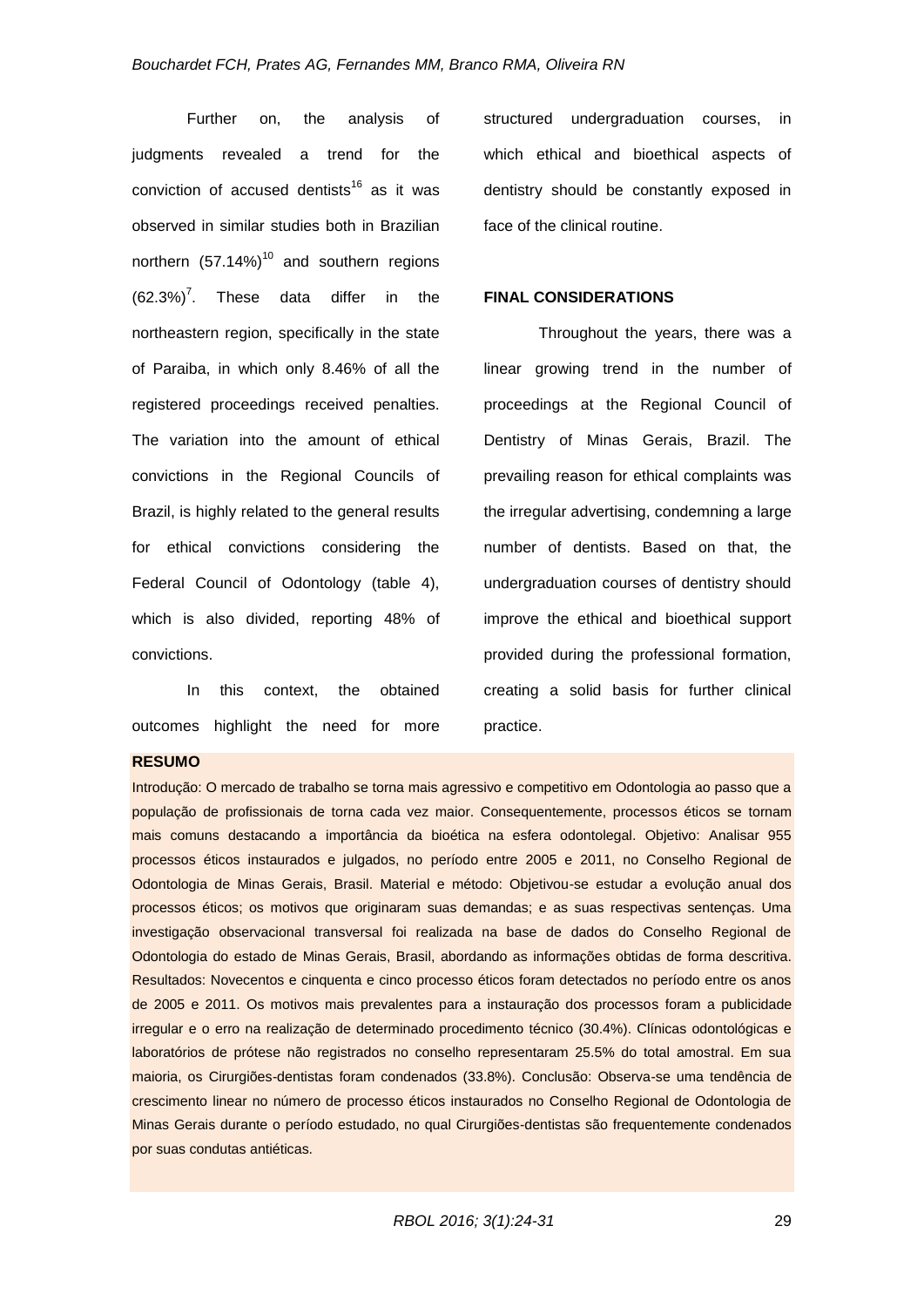Further on, the analysis of judgments revealed a trend for the conviction of accused dentists<sup>16</sup> as it was observed in similar studies both in Brazilian northern  $(57.14\%)$ <sup>10</sup> and southern regions  $(62.3\%)^7$ . These data differ in the northeastern region, specifically in the state of Paraiba, in which only 8.46% of all the registered proceedings received penalties. The variation into the amount of ethical convictions in the Regional Councils of Brazil, is highly related to the general results for ethical convictions considering the Federal Council of Odontology (table 4), which is also divided, reporting 48% of convictions.

In this context, the obtained outcomes highlight the need for more structured undergraduation courses, in which ethical and bioethical aspects of dentistry should be constantly exposed in face of the clinical routine.

### **FINAL CONSIDERATIONS**

Throughout the years, there was a linear growing trend in the number of proceedings at the Regional Council of Dentistry of Minas Gerais, Brazil. The prevailing reason for ethical complaints was the irregular advertising, condemning a large number of dentists. Based on that, the undergraduation courses of dentistry should improve the ethical and bioethical support provided during the professional formation, creating a solid basis for further clinical practice.

#### **RESUMO**

Introdução: O mercado de trabalho se torna mais agressivo e competitivo em Odontologia ao passo que a população de profissionais de torna cada vez maior. Consequentemente, processos éticos se tornam mais comuns destacando a importância da bioética na esfera odontolegal. Objetivo: Analisar 955 processos éticos instaurados e julgados, no período entre 2005 e 2011, no Conselho Regional de Odontologia de Minas Gerais, Brasil. Material e método: Objetivou-se estudar a evolução anual dos processos éticos; os motivos que originaram suas demandas; e as suas respectivas sentenças. Uma investigação observacional transversal foi realizada na base de dados do Conselho Regional de Odontologia do estado de Minas Gerais, Brasil, abordando as informações obtidas de forma descritiva. Resultados: Novecentos e cinquenta e cinco processo éticos foram detectados no período entre os anos de 2005 e 2011. Os motivos mais prevalentes para a instauração dos processos foram a publicidade irregular e o erro na realização de determinado procedimento técnico (30.4%). Clínicas odontológicas e laboratórios de prótese não registrados no conselho representaram 25.5% do total amostral. Em sua maioria, os Cirurgiões-dentistas foram condenados (33.8%). Conclusão: Observa-se uma tendência de crescimento linear no número de processo éticos instaurados no Conselho Regional de Odontologia de Minas Gerais durante o período estudado, no qual Cirurgiões-dentistas são frequentemente condenados por suas condutas antiéticas.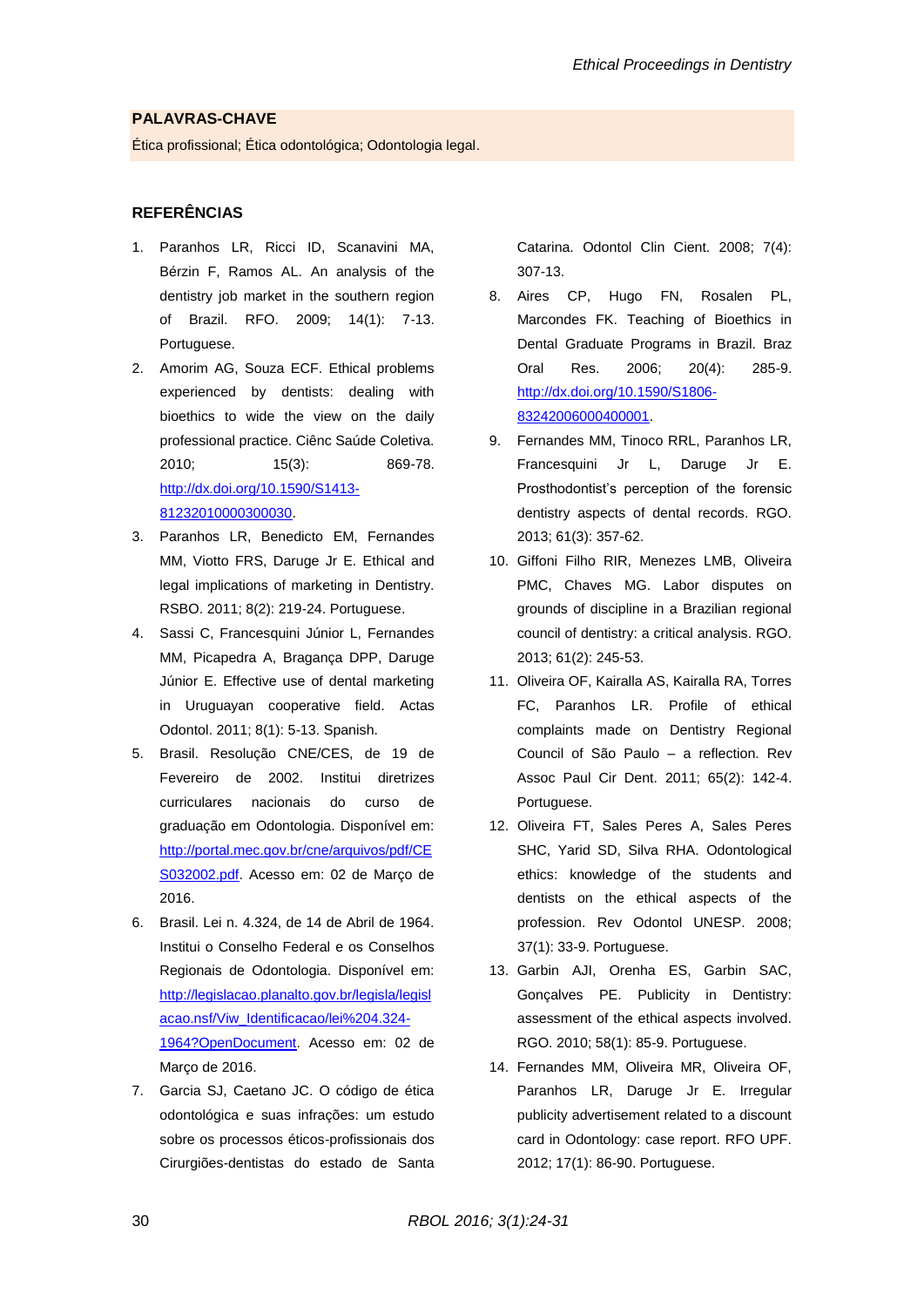## **PALAVRAS-CHAVE**

Ética profissional; Ética odontológica; Odontologia legal.

#### **REFERÊNCIAS**

- 1. Paranhos LR, Ricci ID, Scanavini MA, Bérzin F, Ramos AL. An analysis of the dentistry job market in the southern region of Brazil. RFO. 2009; 14(1): 7-13. Portuguese.
- 2. Amorim AG, Souza ECF. Ethical problems experienced by dentists: dealing with bioethics to wide the view on the daily professional practice. Ciênc Saúde Coletiva. 2010; 15(3): 869-78. [http://dx.doi.org/10.1590/S1413-](http://dx.doi.org/10.1590/S1413-81232010000300030) [81232010000300030.](http://dx.doi.org/10.1590/S1413-81232010000300030)
- 3. Paranhos LR, Benedicto EM, Fernandes MM, Viotto FRS, Daruge Jr E. Ethical and legal implications of marketing in Dentistry. RSBO. 2011; 8(2): 219-24. Portuguese.
- 4. Sassi C, Francesquini Júnior L, Fernandes MM, Picapedra A, Bragança DPP, Daruge Júnior E. Effective use of dental marketing in Uruguayan cooperative field. Actas Odontol. 2011; 8(1): 5-13. Spanish.
- 5. Brasil. Resolução CNE/CES, de 19 de Fevereiro de 2002. Institui diretrizes curriculares nacionais do curso de graduação em Odontologia. Disponível em: [http://portal.mec.gov.br/cne/arquivos/pdf/CE](http://portal.mec.gov.br/cne/arquivos/pdf/CES032002.pdf) [S032002.pdf.](http://portal.mec.gov.br/cne/arquivos/pdf/CES032002.pdf) Acesso em: 02 de Março de 2016.
- 6. Brasil. Lei n. 4.324, de 14 de Abril de 1964. Institui o Conselho Federal e os Conselhos Regionais de Odontologia. Disponível em: [http://legislacao.planalto.gov.br/legisla/legisl](http://legislacao.planalto.gov.br/legisla/legislacao.nsf/Viw_Identificacao/lei%204.324-1964?OpenDocument) [acao.nsf/Viw\\_Identificacao/lei%204.324-](http://legislacao.planalto.gov.br/legisla/legislacao.nsf/Viw_Identificacao/lei%204.324-1964?OpenDocument) [1964?OpenDocument.](http://legislacao.planalto.gov.br/legisla/legislacao.nsf/Viw_Identificacao/lei%204.324-1964?OpenDocument) Acesso em: 02 de Março de 2016.
- 7. Garcia SJ, Caetano JC. O código de ética odontológica e suas infrações: um estudo sobre os processos éticos-profissionais dos Cirurgiões-dentistas do estado de Santa

Catarina. Odontol Clin Cient. 2008; 7(4): 307-13.

- 8. Aires CP, Hugo FN, Rosalen PL, Marcondes FK. Teaching of Bioethics in Dental Graduate Programs in Brazil. Braz Oral Res. 2006; 20(4): 285-9. [http://dx.doi.org/10.1590/S1806-](http://dx.doi.org/10.1590/S1806-83242006000400001) [83242006000400001.](http://dx.doi.org/10.1590/S1806-83242006000400001)
- 9. Fernandes MM, Tinoco RRL, Paranhos LR, Francesquini Jr L, Daruge Jr E. Prosthodontist's perception of the forensic dentistry aspects of dental records. RGO. 2013; 61(3): 357-62.
- 10. Giffoni Filho RIR, Menezes LMB, Oliveira PMC, Chaves MG. Labor disputes on grounds of discipline in a Brazilian regional council of dentistry: a critical analysis. RGO. 2013; 61(2): 245-53.
- 11. Oliveira OF, Kairalla AS, Kairalla RA, Torres FC, Paranhos LR. Profile of ethical complaints made on Dentistry Regional Council of São Paulo – a reflection. Rev Assoc Paul Cir Dent. 2011; 65(2): 142-4. Portuguese.
- 12. Oliveira FT, Sales Peres A, Sales Peres SHC, Yarid SD, Silva RHA. Odontological ethics: knowledge of the students and dentists on the ethical aspects of the profession. Rev Odontol UNESP. 2008; 37(1): 33-9. Portuguese.
- 13. Garbin AJI, Orenha ES, Garbin SAC, Gonçalves PE. Publicity in Dentistry: assessment of the ethical aspects involved. RGO. 2010; 58(1): 85-9. Portuguese.
- 14. Fernandes MM, Oliveira MR, Oliveira OF, Paranhos LR, Daruge Jr E. Irregular publicity advertisement related to a discount card in Odontology: case report. RFO UPF. 2012; 17(1): 86-90. Portuguese.